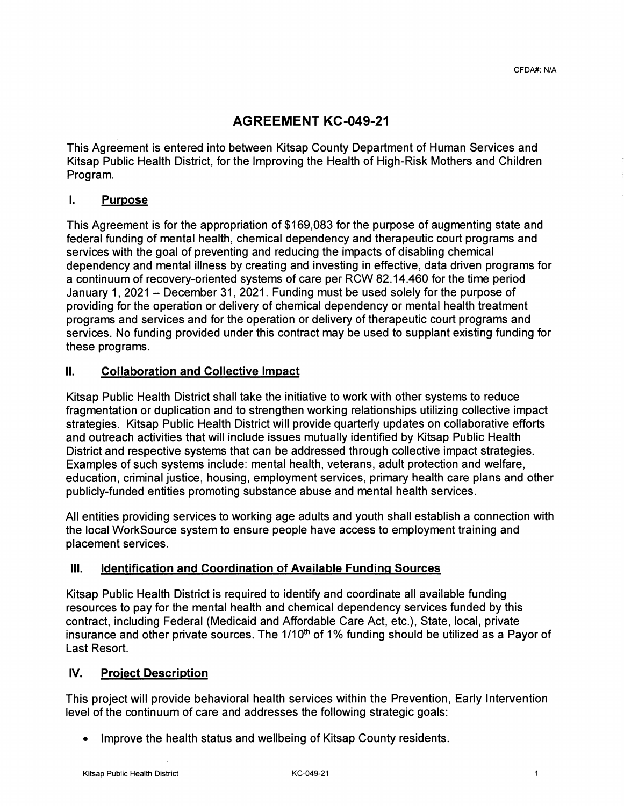# **AGREEMENT KC-049-21**

This Agreement is entered into between Kitsap County Department of Human Services and Kitsap Public Health District, for the Improving the Health of High-Risk Mothers and Children Program.

#### I. **Purpose**

This Agreement is for the appropriation of \$169,083 for the purpose of augmenting state and federal funding of mental health, chemical dependency and therapeutic court programs and services with the goal of preventing and reducing the impacts of disabling chemical dependency and mental illness by creating and investing in effective, data driven programs for a continuum of recovery-oriented systems of care per RCW 82.14.460 for the time period January 1, 2021 - December 31, 2021. Funding must be used solely for the purpose of providing for the operation or delivery of chemical dependency or mental health treatment programs and services and for the operation or delivery of therapeutic court programs and services. No funding provided under this contract may be used to supplant existing funding for these programs.

#### II. **Collaboration and Collective Impact**

Kitsap Public Health District shall take the initiative to work with other systems to reduce fragmentation or duplication and to strengthen working relationships utilizing collective impact strategies. Kitsap Public Health District will provide quarterly updates on collaborative efforts and outreach activities that will include issues mutually identified by Kitsap Public Health District and respective systems that can be addressed through collective impact strategies. Examples of such systems include: mental health, veterans, adult protection and welfare, education, criminal justice, housing, employment services, primary health care plans and other publicly-funded entities promoting substance abuse and mental health services.

All entities providing services to working age adults and youth shall establish a connection with the local WorkSource system to ensure people have access to employment training and placement services.

## Ill. **Identification and Coordination of Available Funding Sources**

Kitsap Public Health District is required to identify and coordinate all available funding resources to pay for the mental health and chemical dependency services funded by this contract, including Federal (Medicaid and Affordable Care Act, etc.), State, local, private insurance and other private sources. The  $1/10<sup>th</sup>$  of 1% funding should be utilized as a Payor of Last Resort.

#### **IV. Project Description**

This project will provide behavioral health services within the Prevention, Early Intervention level of the continuum of care and addresses the following strategic goals:

• Improve the health status and wellbeing of Kitsap County residents.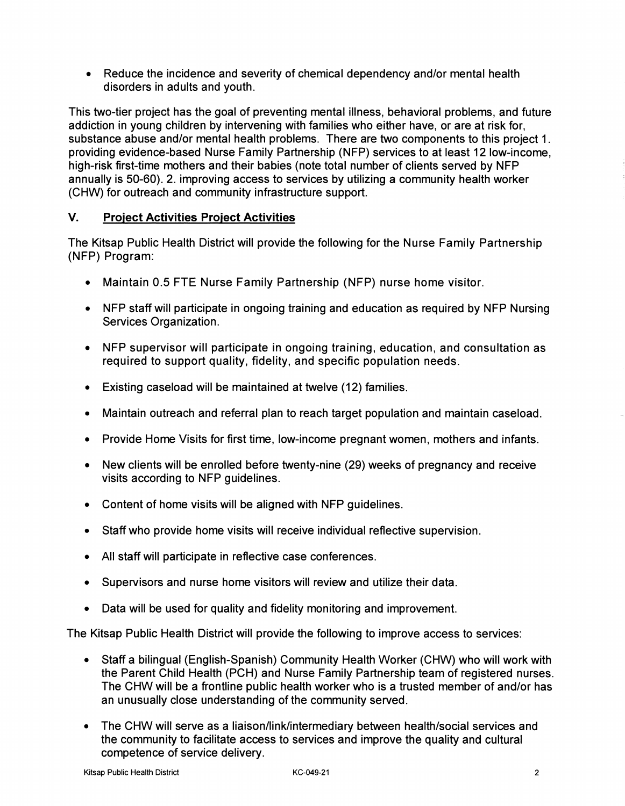• Reduce the incidence and severity of chemical dependency and/or mental health disorders in adults and youth.

This two-tier project has the goal of preventing mental illness, behavioral problems, and future addiction in young children by intervening with families who either have, or are at risk for, substance abuse and/or mental health problems. There are two components to this project 1. providing evidence-based Nurse Family Partnership (NFP) services to at least 12 low-income, high-risk first-time mothers and their babies (note total number of clients served by NFP annually is 50-60). 2. improving access to services by utilizing a community health worker (CHW) for outreach and community infrastructure support.

## **V. Project Activities Project Activities**

The Kitsap Public Health District will provide the following for the Nurse Family Partnership (NFP) Program:

- Maintain 0.5 FTE Nurse Family Partnership (NFP) nurse home visitor.
- NFP staff will participate in ongoing training and education as required by NFP Nursing Services Organization.
- NFP supervisor will participate in ongoing training, education, and consultation as required to support quality, fidelity, and specific population needs.
- Existing caseload will be maintained at twelve (12) families.
- Maintain outreach and referral plan to reach target population and maintain caseload.
- Provide Home Visits for first time, low-income pregnant women, mothers and infants.
- New clients will be enrolled before twenty-nine (29) weeks of pregnancy and receive visits according to NFP guidelines.
- Content of home visits will be aligned with NFP guidelines.
- Staff who provide home visits will receive individual reflective supervision.
- All staff will participate in reflective case conferences.
- Supervisors and nurse home visitors will review and utilize their data.
- Data will be used for quality and fidelity monitoring and improvement.

The Kitsap Public Health District will provide the following to improve access to services:

- Staff a bilingual (English-Spanish) Community Health Worker (CHW) who will work with the Parent Child Health (PCH) and Nurse Family Partnership team of registered nurses. The CHW will be a frontline public health worker who is a trusted member of and/or has an unusually close understanding of the community served.
- The CHW will serve as a liaison/link/intermediary between health/social services and the community to facilitate access to services and improve the quality and cultural competence of service delivery.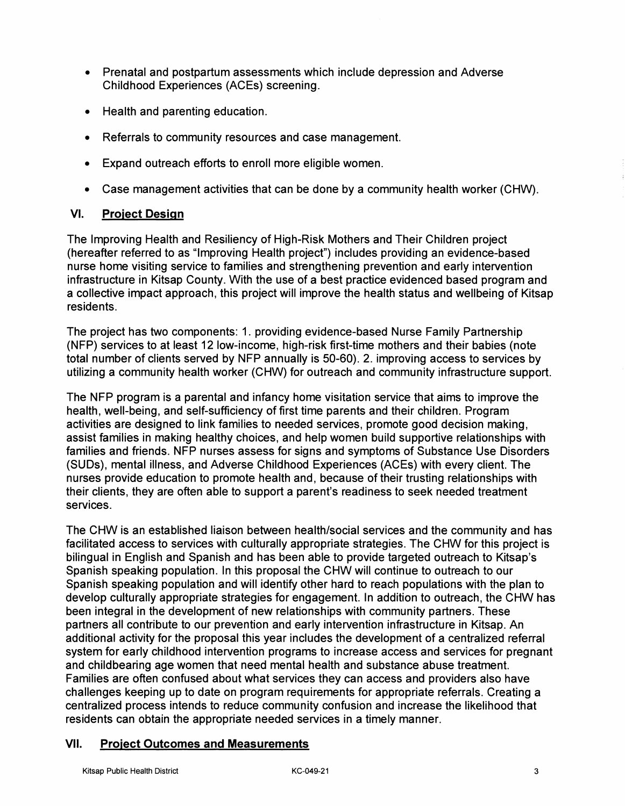- Prenatal and postpartum assessments which include depression and Adverse Childhood Experiences (ACEs) screening.
- Health and parenting education.
- Referrals to community resources and case management.
- Expand outreach efforts to enroll more eligible women.
- Case management activities that can be done by a community health worker (CHW).

#### **VI. Project Design**

The Improving Health and Resiliency of High-Risk Mothers and Their Children project (hereafter referred to as "Improving Health project") includes providing an evidence-based nurse home visiting service to families and strengthening prevention and early intervention infrastructure in Kitsap County. With the use of a best practice evidenced based program and a collective impact approach, this project will improve the health status and wellbeing of Kitsap residents.

The project has two components: 1. providing evidence-based Nurse Family Partnership (NFP) services to at least 12 low-income, high-risk first-time mothers and their babies (note total number of clients served by NFP annually is 50-60). 2. improving access to services by utilizing a community health worker (CHW) for outreach and community infrastructure support.

The NFP program is a parental and infancy home visitation service that aims to improve the health, well-being, and self-sufficiency of first time parents and their children. Program activities are designed to link families to needed services, promote good decision making, assist families in making healthy choices, and help women build supportive relationships with families and friends. NFP nurses assess for signs and symptoms of Substance Use Disorders (SUDs), mental illness, and Adverse Childhood Experiences (ACEs) with every client. The nurses provide education to promote health and, because of their trusting relationships with their clients, they are often able to support a parent's readiness to seek needed treatment services.

The CHW is an established liaison between health/social services and the community and has facilitated access to services with culturally appropriate strategies. The CHW for this project is bilingual in English and Spanish and has been able to provide targeted outreach to Kitsap's Spanish speaking population. In this proposal the CHW will continue to outreach to our Spanish speaking population and will identify other hard to reach populations with the plan to develop culturally appropriate strategies for engagement. In addition to outreach, the CHW has been integral in the development of new relationships with community partners. These partners all contribute to our prevention and early intervention infrastructure in Kitsap. An additional activity for the proposal this year includes the development of a centralized referral system for early childhood intervention programs to increase access and services for pregnant and childbearing age women that need mental health and substance abuse treatment. Families are often confused about what services they can access and providers also have challenges keeping up to date on program requirements for appropriate referrals. Creating a centralized process intends to reduce community confusion and increase the likelihood that residents can obtain the appropriate needed services in a timely manner.

#### **VII. Project Outcomes and Measurements**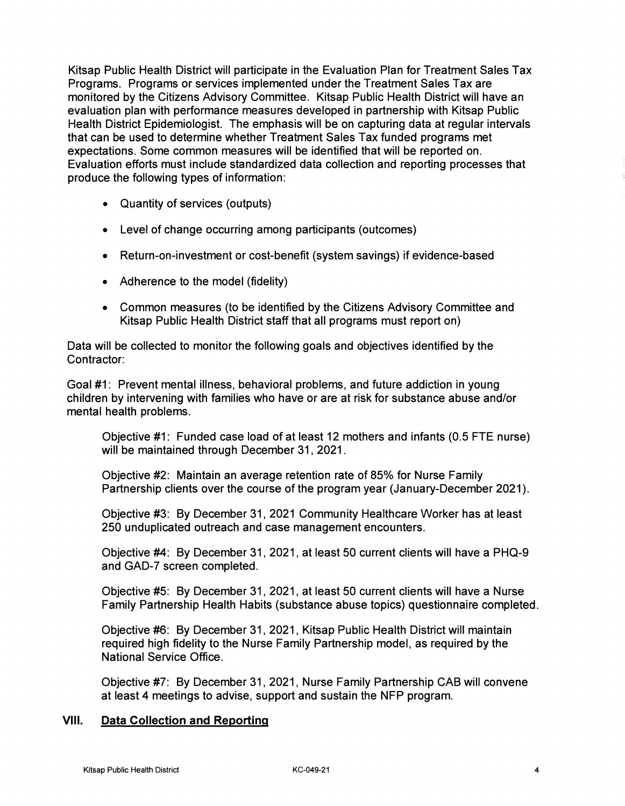Kitsap Public Health District will participate in the Evaluation Plan for Treatment Sales Tax Programs. Programs or services implemented under the Treatment Sales Tax are monitored by the Citizens Advisory Committee. Kitsap Public Health District will have an evaluation plan with performance measures developed in partnership with Kitsap Public Health District Epidemiologist. The emphasis will be on capturing data at regular intervals that can be used to determine whether Treatment Sales Tax funded programs met expectations. Some common measures will be identified that will be reported on. Evaluation efforts must include standardized data collection and reporting processes that produce the following types of information:

- Quantity of services (outputs)
- Level of change occurring among participants (outcomes)
- Return-on-investment or cost-benefit (system savings) if evidence-based
- Adherence to the model (fidelity)
- Common measures (to be identified by the Citizens Advisory Committee and Kitsap Public Health District staff that all programs must report on)

Data will be collected to monitor the following goals and objectives identified by the Contractor:

Goal #1: Prevent mental illness, behavioral problems, and future addiction in young children by intervening with families who have or are at risk for substance abuse and/or mental health problems.

Objective #1: Funded case load of at least 12 mothers and infants (0.5 FTE nurse) will be maintained through December 31, 2021.

Objective #2: Maintain an average retention rate of 85% for Nurse Family Partnership clients over the course of the program year (January-December 2021).

Objective #3: By December 31, 2021 Community Healthcare Worker has at least 250 unduplicated outreach and case management encounters.

Objective #4: By December 31, 2021, at least 50 current clients will have a PHQ-9 and GAD-7 screen completed.

Objective #5: By December 31, 2021, at least 50 current clients will have a Nurse Family Partnership Health Habits (substance abuse topics) questionnaire completed.

Objective #6: By December 31, 2021, Kitsap Public Health District will maintain required high fidelity to the Nurse Family Partnership model, as required by the National Service Office.

Objective #7: By December 31, 2021, Nurse Family Partnership CAB will convene at least 4 meetings to advise, support and sustain the NFP program.

#### **VIII. Data Collection and Reporting**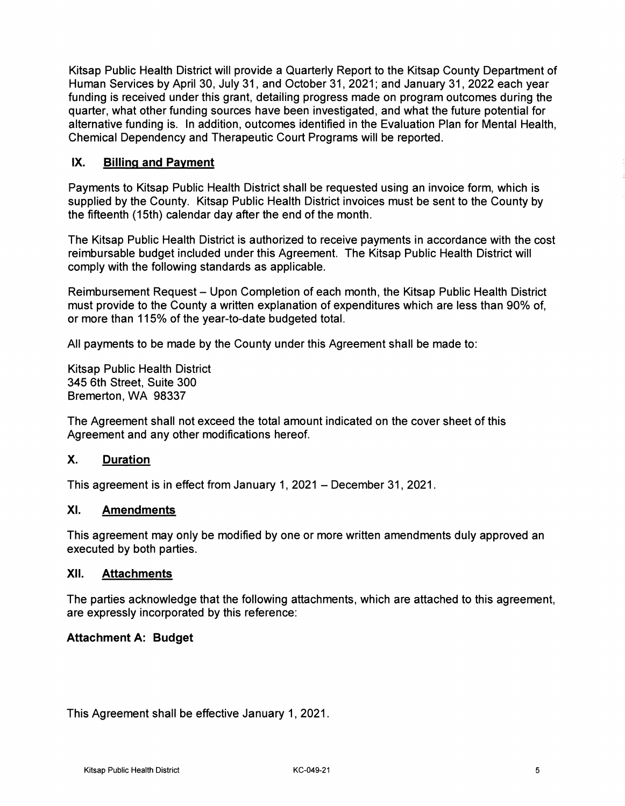Kitsap Public Health District will provide a Quarterly Report to the Kitsap County Department of Human Services by April 30, July 31, and October 31, 2021; and January 31, 2022 each year funding is received under this grant, detailing progress made on program outcomes during the quarter, what other funding sources have been investigated, and what the future potential for alternative funding is. In addition, outcomes identified in the Evaluation Plan for Mental Health, Chemical Dependency and Therapeutic Court Programs will be reported.

#### **IX. Billing and Payment**

Payments to Kitsap Public Health District shall be requested using an invoice form, which is supplied by the County. Kitsap Public Health District invoices must be sent to the County by the fifteenth (15th) calendar day after the end of the month.

The Kitsap Public Health District is authorized to receive payments in accordance with the cost reimbursable budget included under this Agreement. The Kitsap Public Health District will comply with the following standards as applicable.

Reimbursement Request - Upon Completion of each month, the Kitsap Public Health District must provide to the County a written explanation of expenditures which are less than 90% of, or more than 115% of the year-to-date budgeted total.

All payments to be made by the County under this Agreement shall be made to:

Kitsap Public Health District 345 6th Street, Suite 300 Bremerton, WA 98337

The Agreement shall not exceed the total amount indicated on the cover sheet of this Agreement and any other modifications hereof.

## **X. Duration**

This agreement is in effect from January 1, 2021 - December 31, 2021.

#### **XI. Amendments**

This agreement may only be modified by one or more written amendments duly approved an executed by both parties.

#### **XII. Attachments**

The parties acknowledge that the following attachments, which are attached to this agreement, are expressly incorporated by this reference:

#### **Attachment A: Budget**

This Agreement shall be effective January 1, 2021.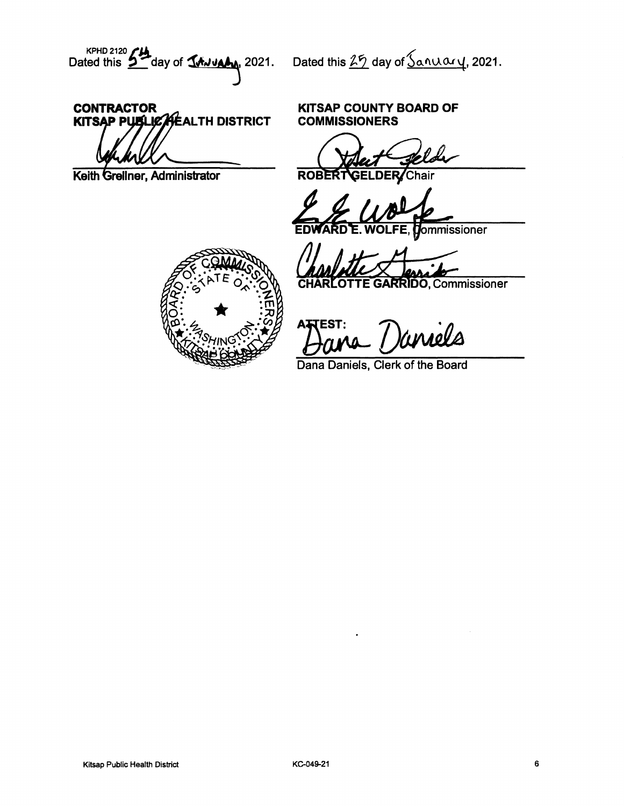KPHD 2120  $f$  ay of  $\frac{1}{2}$  day of  $\frac{1}{2}$  ated this  $\frac{25}{2}$  day of  $\frac{5}{2}$  and  $\frac{2021}{2}$ .

# **CONTRACTOR** KITSAP PUBLICALEALTH DISTRICT

Keith Grellner, Administrator

#### **KITSAP COUNTY BOARD OF COMMISSIONERS**

**ROB DER** Chair

ommissioner

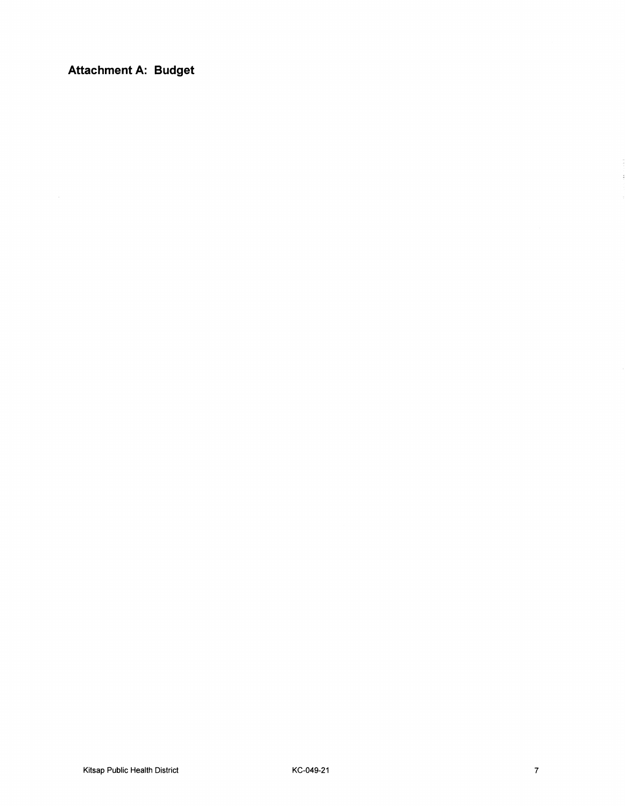**Attachment A: Budget**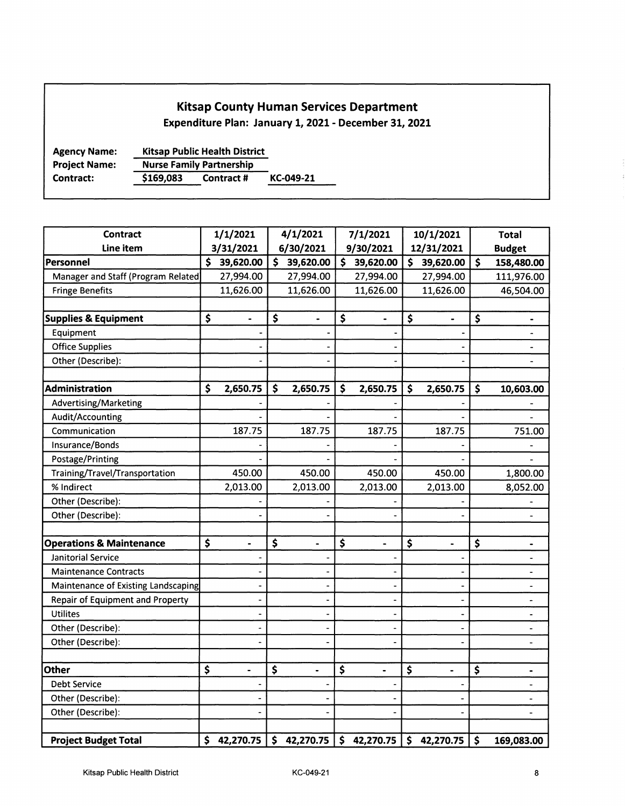#### **Kitsap County Human Services Department**

**Expenditure Plan: January 1, 2021 - December 31, 2021** 

**Agency Name: Project Name: Kitsap Public Health District Nurse Family Partnership Contract: \$169,083 Contract# KC-049-21** 

| <b>Contract</b>                         | 1/1/2021                           | 4/1/2021                           | 7/1/2021                           | 10/1/2021            | <b>Total</b>             |
|-----------------------------------------|------------------------------------|------------------------------------|------------------------------------|----------------------|--------------------------|
| Line item                               | 3/31/2021                          | 6/30/2021                          | 9/30/2021                          | 12/31/2021           | <b>Budget</b>            |
| Personnel                               | \$<br>39,620.00                    | \$<br>39,620.00                    | \$39,620.00                        | \$39,620.00          | \$<br>158,480.00         |
| Manager and Staff (Program Related      | 27,994.00                          | 27,994.00                          | 27,994.00                          | 27,994.00            | 111,976.00               |
| <b>Fringe Benefits</b>                  | 11,626.00                          | 11,626.00                          | 11,626.00                          | 11,626.00            | 46,504.00                |
|                                         |                                    |                                    |                                    |                      |                          |
| <b>Supplies &amp; Equipment</b>         | \$<br>$\blacksquare$               | \$<br>$\blacksquare$               | \$<br>$\blacksquare$               | \$<br>$\blacksquare$ | \$                       |
| Equipment                               |                                    |                                    |                                    |                      |                          |
| <b>Office Supplies</b>                  |                                    |                                    |                                    |                      | $\overline{\phantom{0}}$ |
| Other (Describe):                       |                                    |                                    |                                    |                      | $\overline{\phantom{0}}$ |
|                                         |                                    |                                    |                                    |                      |                          |
| Administration                          | \$<br>2,650.75                     | \$<br>2,650.75                     | \$<br>2,650.75                     | \$<br>2,650.75       | \$<br>10,603.00          |
| Advertising/Marketing                   |                                    |                                    |                                    |                      |                          |
| Audit/Accounting                        |                                    |                                    |                                    |                      |                          |
| Communication                           | 187.75                             | 187.75                             | 187.75                             | 187.75               | 751.00                   |
| Insurance/Bonds                         |                                    |                                    |                                    |                      |                          |
| Postage/Printing                        |                                    |                                    |                                    |                      |                          |
| Training/Travel/Transportation          | 450.00                             | 450.00                             | 450.00                             | 450.00               | 1,800.00                 |
| % Indirect                              | 2,013.00                           | 2,013.00                           | 2,013.00                           | 2,013.00             | 8,052.00                 |
| Other (Describe):                       |                                    |                                    |                                    |                      |                          |
| Other (Describe):                       |                                    |                                    |                                    |                      | $\overline{\phantom{0}}$ |
|                                         |                                    |                                    |                                    |                      |                          |
| <b>Operations &amp; Maintenance</b>     | \$<br>$\qquad \qquad \blacksquare$ | \$<br>$\qquad \qquad \blacksquare$ | \$<br>$\qquad \qquad \blacksquare$ | \$<br>-              | \$<br>-                  |
| Janitorial Service                      |                                    |                                    |                                    |                      | $\frac{1}{2}$            |
| <b>Maintenance Contracts</b>            |                                    |                                    |                                    |                      | $\blacksquare$           |
| Maintenance of Existing Landscaping     |                                    |                                    |                                    |                      | $\blacksquare$           |
| <b>Repair of Equipment and Property</b> |                                    |                                    |                                    |                      | -                        |
| <b>Utilites</b>                         |                                    |                                    |                                    |                      | ٠                        |
| Other (Describe):                       |                                    |                                    |                                    |                      | $\overline{\phantom{0}}$ |
| Other (Describe):                       |                                    |                                    |                                    |                      | $\overline{\phantom{0}}$ |
| <b>Other</b>                            | \$<br>$\qquad \qquad \blacksquare$ | \$<br>$\qquad \qquad \blacksquare$ | \$<br>$\blacksquare$               | \$<br>$\blacksquare$ | \$<br>$\blacksquare$     |
| <b>Debt Service</b>                     |                                    |                                    |                                    |                      | $\overline{\phantom{0}}$ |
| Other (Describe):                       |                                    |                                    |                                    |                      | $\overline{\phantom{0}}$ |
| Other (Describe):                       |                                    |                                    |                                    |                      |                          |
|                                         |                                    |                                    |                                    |                      |                          |
| <b>Project Budget Total</b>             | \$42,270.75                        | \$42,270.75                        | $$42,270.75 \mid $42,270.75$       |                      | \$<br>169,083.00         |